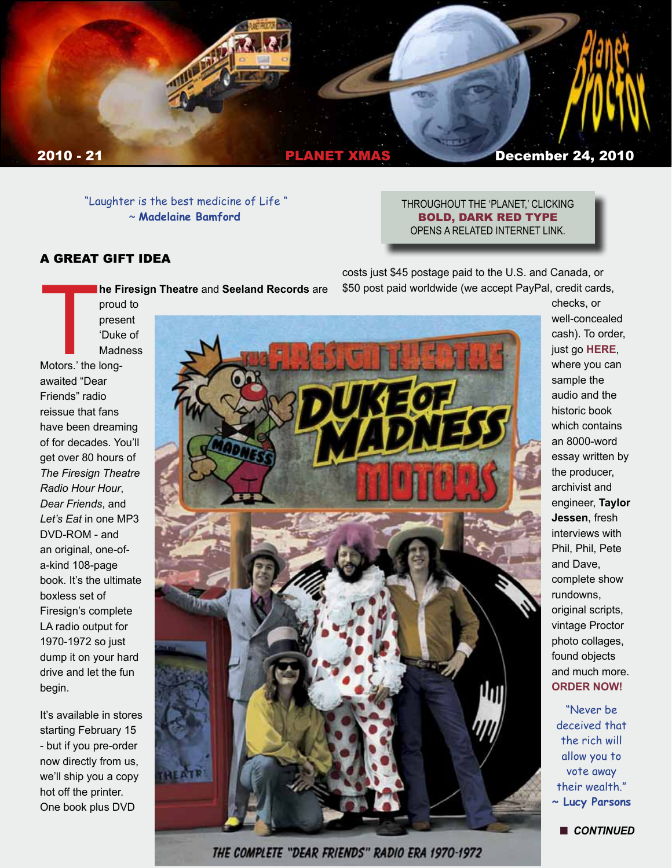

 "Laughter is the best medicine of Life " ~ **Madelaine Bamford**

**he Firesign Theatre** and **Seeland Records** are

# A GREAT GIFT IDEA

proud to

### THROUGHOUT THE 'PLANET,' CLICKING BOLD, DARK RED TYPE OPENS A RELATED INTERNET LINK.

costs just \$45 postage paid to the U.S. and Canada, or \$50 post paid worldwide (we accept PayPal, credit cards,

**The Filter of Process**<br>
proud<br>
Puke<br>
Madr<br>
Motors.' the longpresent 'Duke of **Madness** awaited "Dear Friends" radio reissue that fans have been dreaming of for decades. You'll get over 80 hours of *The Firesign Theatre Radio Hour Hour*, *Dear Friends*, and *Let's Eat* in one MP3 DVD-ROM - and an original, one-ofa-kind 108-page book. It's the ultimate boxless set of Firesign's complete LA radio output for 1970-1972 so just dump it on your hard drive and let the fun begin.

It's available in stores starting February 15 - but if you pre-order now directly from us, we'll ship you a copy hot off the printer. One book plus DVD



THE COMPLETE "DEAR FRIENDS" RADIO ERA 1970-1972

checks, or well-concealed cash). To order, just go **[HERE](http://www.firesigntheatre.com)**, where you can sample the audio and the historic book which contains an 8000-word essay written by the producer, archivist and engineer, **Taylor Jessen**, fresh interviews with Phil, Phil, Pete and Dave, complete show rundowns, original scripts, vintage Proctor photo collages, found objects and much more. **[ORDER NOW!](http://www.firesigntheatre.com/domm/index.html)**

"Never be deceived that the rich will allow you to vote away their wealth." **~ Lucy Parsons**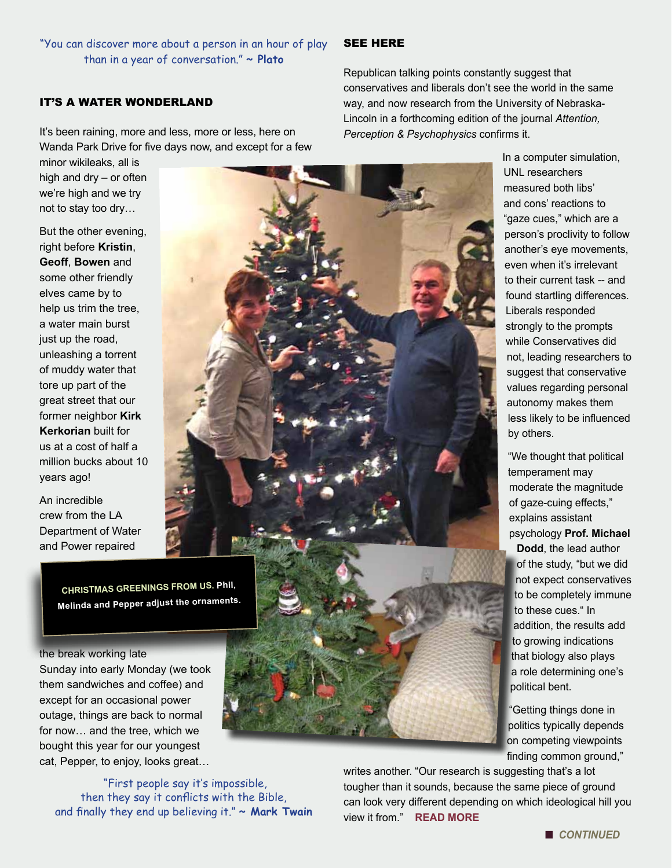"You can discover more about a person in an hour of play than in a year of conversation." **~ Plato**

### IT'S A WATER WONDERLAND

It's been raining, more and less, more or less, here on Wanda Park Drive for five days now, and except for a few

minor wikileaks, all is high and dry – or often we're high and we try not to stay too dry…

But the other evening, right before **Kristin**, **Geoff**, **Bowen** and some other friendly elves came by to help us trim the tree, a water main burst just up the road, unleashing a torrent of muddy water that tore up part of the great street that our former neighbor **Kirk Kerkorian** built for us at a cost of half a million bucks about 10 years ago!

An incredible crew from the LA Department of Water and Power repaired

> **CHRISTMAS GREENINGS FROM US. Phil, Melinda and Pepper adjust the ornaments.**

the break working late

Sunday into early Monday (we took them sandwiches and coffee) and except for an occasional power outage, things are back to normal for now… and the tree, which we bought this year for our youngest cat, Pepper, to enjoy, looks great…

 "First people say it's impossible, then they say it conflicts with the Bible, and finally they end up believing it." **~ Mark Twain**

### SEE HERE

Republican talking points constantly suggest that conservatives and liberals don't see the world in the same way, and now research from the University of Nebraska-Lincoln in a forthcoming edition of the journal *Attention, Perception & Psychophysics* confirms it.

In a computer simulation, UNL researchers measured both libs' and cons' reactions to "gaze cues," which are a person's proclivity to follow another's eye movements, even when it's irrelevant to their current task -- and found startling differences. Liberals responded strongly to the prompts while Conservatives did not, leading researchers to suggest that conservative values regarding personal autonomy makes them less likely to be influenced by others.

"Getting things done in politics typically depends on competing viewpoints

> writes another. "Our research is suggesting that's a lot tougher than it sounds, because the same piece of ground can look very different depending on which ideological hill you view it from." **[READ MORE](http://www.sciencedaily.com/releases/2010/12/101209074403.htm)**

"We thought that political temperament may moderate the magnitude of gaze-cuing effects," explains assistant psychology **Prof. Michael Dodd**, the lead author of the study, "but we did

not expect conservatives to be completely immune to these cues." In addition, the results add to growing indications that biology also plays a role determining one's political bent.

finding common ground,"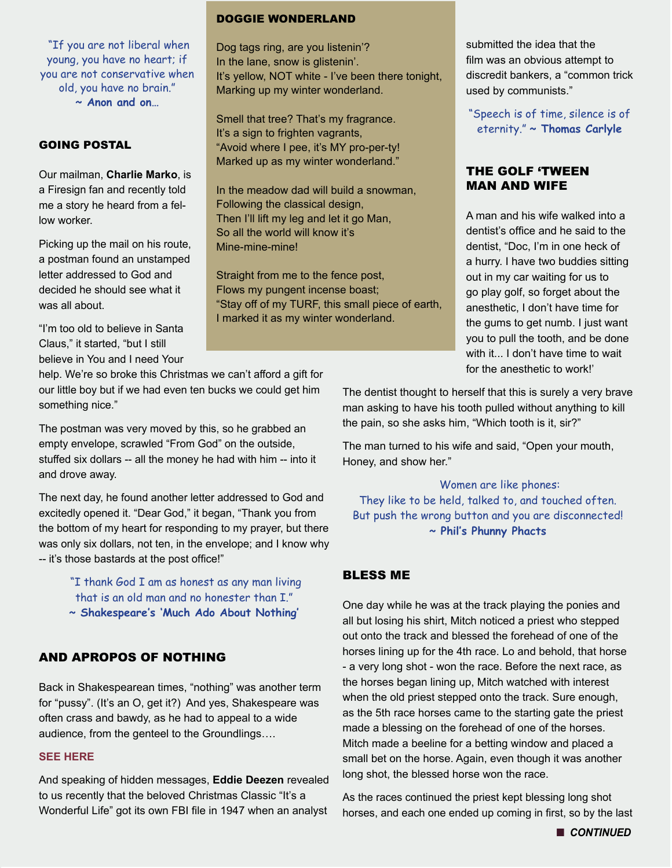"If you are not liberal when young, you have no heart; if you are not conservative when old, you have no brain." **~ Anon and on…**

## GOING POSTAL

Our mailman, **Charlie Marko**, is a Firesign fan and recently told me a story he heard from a fellow worker.

Picking up the mail on his route, a postman found an unstamped letter addressed to God and decided he should see what it was all about.

"I'm too old to believe in Santa Claus," it started, "but I still believe in You and I need Your

help. We're so broke this Christmas we can't afford a gift for our little boy but if we had even ten bucks we could get him something nice."

The postman was very moved by this, so he grabbed an empty envelope, scrawled "From God" on the outside, stuffed six dollars -- all the money he had with him -- into it and drove away.

The next day, he found another letter addressed to God and excitedly opened it. "Dear God," it began, "Thank you from the bottom of my heart for responding to my prayer, but there was only six dollars, not ten, in the envelope; and I know why -- it's those bastards at the post office!"

> "I thank God I am as honest as any man living that is an old man and no honester than I." **~ Shakespeare's 'Much Ado About Nothing'**

## AND APROPOS OF NOTHING

Back in Shakespearean times, "nothing" was another term for "pussy". (It's an O, get it?) And yes, Shakespeare was often crass and bawdy, as he had to appeal to a wide audience, from the genteel to the Groundlings….

#### **[SEE HERE](http://www.giantitp.com/forums//archive/index.php?t-113569.html)**

And speaking of hidden messages, **Eddie Deezen** revealed to us recently that the beloved Christmas Classic "It's a Wonderful Life" got its own FBI file in 1947 when an analyst

#### DOGGIE WONDERLAND

Dog tags ring, are you listenin'? In the lane, snow is glistenin'. It's yellow, NOT white - I've been there tonight, Marking up my winter wonderland.

Smell that tree? That's my fragrance. It's a sign to frighten vagrants, "Avoid where I pee, it's MY pro-per-ty! Marked up as my winter wonderland."

In the meadow dad will build a snowman, Following the classical design, Then I'll lift my leg and let it go Man, So all the world will know it's Mine-mine-mine!

Straight from me to the fence post, Flows my pungent incense boast; "Stay off of my TURF, this small piece of earth, I marked it as my winter wonderland.

submitted the idea that the film was an obvious attempt to discredit bankers, a "common trick used by communists."

"Speech is of time, silence is of eternity." **~ Thomas Carlyle**

### THE GOLF 'TWEEN MAN AND WIFE

A man and his wife walked into a dentist's office and he said to the dentist, "Doc, I'm in one heck of a hurry. I have two buddies sitting out in my car waiting for us to go play golf, so forget about the anesthetic, I don't have time for the gums to get numb. I just want you to pull the tooth, and be done with it... I don't have time to wait for the anesthetic to work!'

The dentist thought to herself that this is surely a very brave man asking to have his tooth pulled without anything to kill the pain, so she asks him, "Which tooth is it, sir?"

The man turned to his wife and said, "Open your mouth, Honey, and show her."

Women are like phones: They like to be held, talked to, and touched often. But push the wrong button and you are disconnected! **~ Phil's Phunny Phacts**

### BLESS ME

One day while he was at the track playing the ponies and all but losing his shirt, Mitch noticed a priest who stepped out onto the track and blessed the forehead of one of the horses lining up for the 4th race. Lo and behold, that horse - a very long shot - won the race. Before the next race, as the horses began lining up, Mitch watched with interest when the old priest stepped onto the track. Sure enough, as the 5th race horses came to the starting gate the priest made a blessing on the forehead of one of the horses. Mitch made a beeline for a betting window and placed a small bet on the horse. Again, even though it was another long shot, the blessed horse won the race.

As the races continued the priest kept blessing long shot horses, and each one ended up coming in first, so by the last